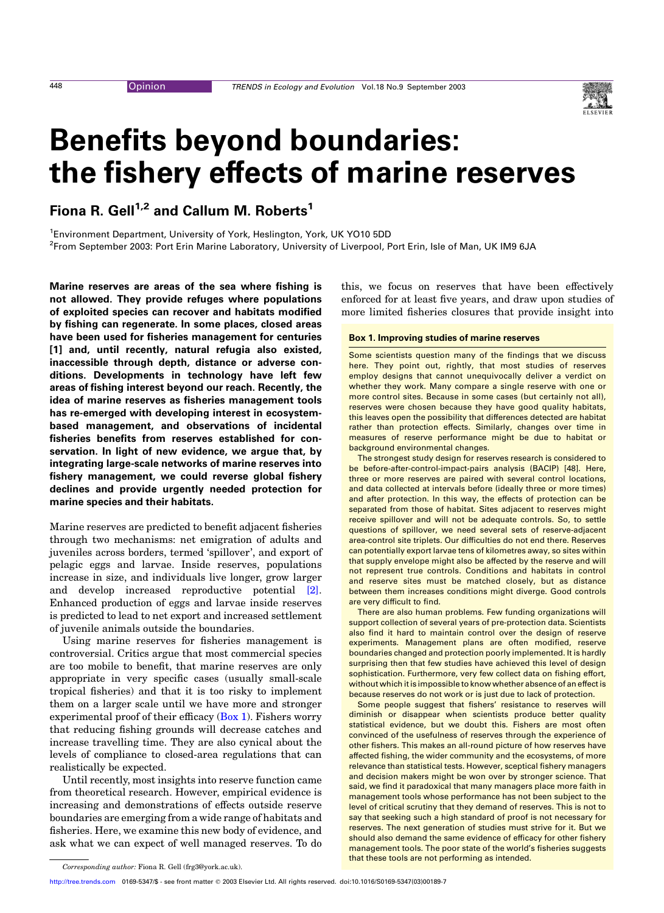# <span id="page-0-0"></span>Benefits beyond boundaries: the fishery effects of marine reserves

Fiona R. Gell<sup>1,2</sup> and Callum M. Roberts<sup>1</sup>

<sup>1</sup>Environment Department, University of York, Heslington, York, UK YO10 5DD <sup>2</sup>From September 2003: Port Erin Marine Laboratory, University of Liverpool, Port Erin, Isle of Man, UK IM9 6JA

Marine reserves are areas of the sea where fishing is not allowed. They provide refuges where populations of exploited species can recover and habitats modified by fishing can regenerate. In some places, closed areas have been used for fisheries management for centuries [1] and, until recently, natural refugia also existed, inaccessible through depth, distance or adverse conditions. Developments in technology have left few areas of fishing interest beyond our reach. Recently, the idea of marine reserves as fisheries management tools has re-emerged with developing interest in ecosystembased management, and observations of incidental fisheries benefits from reserves established for conservation. In light of new evidence, we argue that, by integrating large-scale networks of marine reserves into fishery management, we could reverse global fishery declines and provide urgently needed protection for marine species and their habitats.

Marine reserves are predicted to benefit adjacent fisheries through two mechanisms: net emigration of adults and juveniles across borders, termed 'spillover', and export of pelagic eggs and larvae. Inside reserves, populations increase in size, and individuals live longer, grow larger and develop increased reproductive potential [\[2\]](#page-5-0). Enhanced production of eggs and larvae inside reserves is predicted to lead to net export and increased settlement of juvenile animals outside the boundaries.

Using marine reserves for fisheries management is controversial. Critics argue that most commercial species are too mobile to benefit, that marine reserves are only appropriate in very specific cases (usually small-scale tropical fisheries) and that it is too risky to implement them on a larger scale until we have more and stronger experimental proof of their efficacy (Box 1). Fishers worry that reducing fishing grounds will decrease catches and increase travelling time. They are also cynical about the levels of compliance to closed-area regulations that can realistically be expected.

Until recently, most insights into reserve function came from theoretical research. However, empirical evidence is increasing and demonstrations of effects outside reserve boundaries are emerging from a wide range of habitats and fisheries. Here, we examine this new body of evidence, and ask what we can expect of well managed reserves. To do this, we focus on reserves that have been effectively enforced for at least five years, and draw upon studies of more limited fisheries closures that provide insight into

## Box 1. Improving studies of marine reserves

Some scientists question many of the findings that we discuss here. They point out, rightly, that most studies of reserves employ designs that cannot unequivocally deliver a verdict on whether they work. Many compare a single reserve with one or more control sites. Because in some cases (but certainly not all), reserves were chosen because they have good quality habitats, this leaves open the possibility that differences detected are habitat rather than protection effects. Similarly, changes over time in measures of reserve performance might be due to habitat or background environmental changes.

The strongest study design for reserves research is considered to be before-after-control-impact-pairs analysis (BACIP) [48]. Here, three or more reserves are paired with several control locations, and data collected at intervals before (ideally three or more times) and after protection. In this way, the effects of protection can be separated from those of habitat. Sites adjacent to reserves might receive spillover and will not be adequate controls. So, to settle questions of spillover, we need several sets of reserve-adjacent area-control site triplets. Our difficulties do not end there. Reserves can potentially export larvae tens of kilometres away, so sites within that supply envelope might also be affected by the reserve and will not represent true controls. Conditions and habitats in control and reserve sites must be matched closely, but as distance between them increases conditions might diverge. Good controls are very difficult to find.

There are also human problems. Few funding organizations will support collection of several years of pre-protection data. Scientists also find it hard to maintain control over the design of reserve experiments. Management plans are often modified, reserve boundaries changed and protection poorly implemented. It is hardly surprising then that few studies have achieved this level of design sophistication. Furthermore, very few collect data on fishing effort, without which it is impossible to know whether absence of an effect is because reserves do not work or is just due to lack of protection.

Some people suggest that fishers' resistance to reserves will diminish or disappear when scientists produce better quality statistical evidence, but we doubt this. Fishers are most often convinced of the usefulness of reserves through the experience of other fishers. This makes an all-round picture of how reserves have affected fishing, the wider community and the ecosystems, of more relevance than statistical tests. However, sceptical fishery managers and decision makers might be won over by stronger science. That said, we find it paradoxical that many managers place more faith in management tools whose performance has not been subject to the level of critical scrutiny that they demand of reserves. This is not to say that seeking such a high standard of proof is not necessary for reserves. The next generation of studies must strive for it. But we should also demand the same evidence of efficacy for other fishery management tools. The poor state of the world's fisheries suggests that these tools are not performing as intended.



Corresponding author: Fiona R. Gell (frg3@york.ac.uk).

[http://tree.trends.com](http://www.trends.com) 0169-5347/\$ - see front matter @ 2003 Elsevier Ltd. All rights reserved. doi:10.1016/S0169-5347(03)00189-7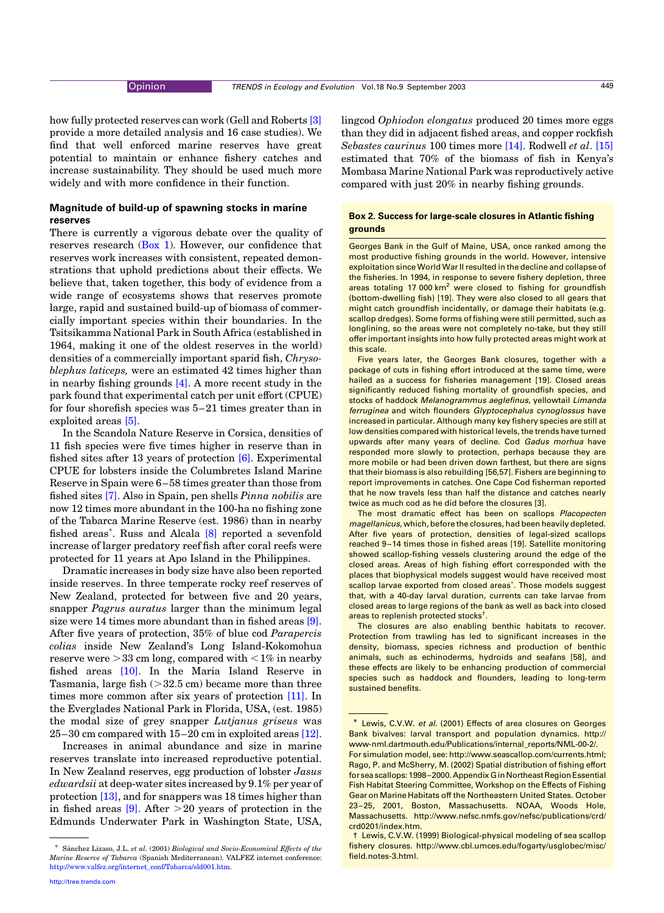<span id="page-1-0"></span>how fully protected reserves can work (Gell and Roberts [\[3\]](#page-5-0) provide a more detailed analysis and 16 case studies). We find that well enforced marine reserves have great potential to maintain or enhance fishery catches and increase sustainability. They should be used much more widely and with more confidence in their function.

# Magnitude of build-up of spawning stocks in marine reserves

There is currently a vigorous debate over the quality of reserves research ([Box 1](#page-0-0)). However, our confidence that reserves work increases with consistent, repeated demonstrations that uphold predictions about their effects. We believe that, taken together, this body of evidence from a wide range of ecosystems shows that reserves promote large, rapid and sustained build-up of biomass of commercially important species within their boundaries. In the Tsitsikamma National Park in South Africa (established in 1964, making it one of the oldest reserves in the world) densities of a commercially important sparid fish, Chrysoblephus laticeps, were an estimated 42 times higher than in nearby fishing grounds [\[4\]](#page-5-0). A more recent study in the park found that experimental catch per unit effort (CPUE) for four shorefish species was 5–21 times greater than in exploited areas [\[5\]](#page-5-0).

In the Scandola Nature Reserve in Corsica, densities of 11 fish species were five times higher in reserve than in fished sites after 13 years of protection [\[6\]](#page-5-0). Experimental CPUE for lobsters inside the Columbretes Island Marine Reserve in Spain were 6–58 times greater than those from fished sites [\[7\]](#page-5-0). Also in Spain, pen shells Pinna nobilis are now 12 times more abundant in the 100-ha no fishing zone of the Tabarca Marine Reserve (est. 1986) than in nearby fished areas<sup>\*</sup>. Russ and Alcala [\[8\]](#page-6-0) reported a sevenfold increase of larger predatory reef fish after coral reefs were protected for 11 years at Apo Island in the Philippines.

Dramatic increases in body size have also been reported inside reserves. In three temperate rocky reef reserves of New Zealand, protected for between five and 20 years, snapper Pagrus auratus larger than the minimum legal size were 14 times more abundant than in fished areas [\[9\]](#page-6-0). After five years of protection, 35% of blue cod Parapercis colias inside New Zealand's Long Island-Kokomohua reserve were  $>33$  cm long, compared with  $<1\%$  in nearby fished areas [\[10\].](#page-6-0) In the Maria Island Reserve in Tasmania, large fish  $(>32.5 \text{ cm})$  became more than three times more common after six years of protection [\[11\]](#page-6-0). In the Everglades National Park in Florida, USA, (est. 1985) the modal size of grey snapper Lutjanus griseus was 25–30 cm compared with 15–20 cm in exploited areas [\[12\]](#page-6-0).

Increases in animal abundance and size in marine reserves translate into increased reproductive potential. In New Zealand reserves, egg production of lobster Jasus edwardsii at deep-water sites increased by 9.1% per year of protection [\[13\],](#page-6-0) and for snappers was 18 times higher than in fished areas  $[9]$ . After  $>20$  years of protection in the Edmunds Underwater Park in Washington State, USA, lingcod Ophiodon elongatus produced 20 times more eggs than they did in adjacent fished areas, and copper rockfish Sebastes caurinus 100 times more [\[14\]](#page-6-0). Rodwell et al. [\[15\]](#page-6-0) estimated that 70% of the biomass of fish in Kenya's Mombasa Marine National Park was reproductively active compared with just 20% in nearby fishing grounds.

## Box 2. Success for large-scale closures in Atlantic fishing grounds

Georges Bank in the Gulf of Maine, USA, once ranked among the most productive fishing grounds in the world. However, intensive exploitation since World War II resulted in the decline and collapse of the fisheries. In 1994, in response to severe fishery depletion, three areas totaling 17 000 km<sup>2</sup> were closed to fishing for groundfish (bottom-dwelling fish) [19]. They were also closed to all gears that might catch groundfish incidentally, or damage their habitats (e.g. scallop dredges). Some forms offishing were still permitted, such as longlining, so the areas were not completely no-take, but they still offer important insights into how fully protected areas might work at this scale.

Five years later, the Georges Bank closures, together with a package of cuts in fishing effort introduced at the same time, were hailed as a success for fisheries management [19]. Closed areas significantly reduced fishing mortality of groundfish species, and stocks of haddock Melanogrammus aeglefinus, yellowtail Limanda ferruginea and witch flounders Glyptocephalus cynoglossus have increased in particular. Although many key fishery species are still at low densities compared with historical levels, the trends have turned upwards after many years of decline. Cod Gadus morhua have responded more slowly to protection, perhaps because they are more mobile or had been driven down farthest, but there are signs that their biomass is also rebuilding [56,57]. Fishers are beginning to report improvements in catches. One Cape Cod fisherman reported that he now travels less than half the distance and catches nearly twice as much cod as he did before the closures [3].

The most dramatic effect has been on scallops Placopecten magellanicus, which, before the closures, had been heavily depleted. After five years of protection, densities of legal-sized scallops reached 9–14 times those in fished areas [19]. Satellite monitoring showed scallop-fishing vessels clustering around the edge of the closed areas. Areas of high fishing effort corresponded with the places that biophysical models suggest would have received most .<br>scallop larvae exported from closed areas<sup>\*</sup>. Those models suggest that, with a 40-day larval duration, currents can take larvae from closed areas to large regions of the bank as well as back into closed areas to replenish protected stocks $^\dagger$ .

The closures are also enabling benthic habitats to recover. Protection from trawling has led to significant increases in the density, biomass, species richness and production of benthic animals, such as echinoderms, hydroids and seafans [58], and these effects are likely to be enhancing production of commercial species such as haddock and flounders, leading to long-term sustained benefits.

Sánchez Lizaso, J.L. et al. (2001) Biological and Socio-Economical Effects of the Marine Reserve of Tabarca (Spanish Mediterranean). VALFEZ internet conference: [http://www.valfez.org/internet\\_conf/Tabarca/sld001.htm](http://www.valfez.org/internet_conf/Tabarca/sld001.htm).

Lewis, C.V.W. et al. (2001) Effects of area closures on Georges Bank bivalves: larval transport and population dynamics. http:// www-nml.dartmouth.edu/Publications/internal\_reports/NML-00-2/.

For simulation model, see: http://www.seascallop.com/currents.html; Rago, P. and McSherry, M. (2002) Spatial distribution of fishing effort for sea scallops: 1998-2000. Appendix G in Northeast Region Essential Fish Habitat Steering Committee, Workshop on the Effects of Fishing Gear on Marine Habitats off the Northeastern United States. October 23–25, 2001, Boston, Massachusetts. NOAA, Woods Hole, Massachusetts. http://www.nefsc.nmfs.gov/nefsc/publications/crd/ crd0201/index.htm.

<sup>†</sup> Lewis, C.V.W. (1999) Biological-physical modeling of sea scallop fishery closures. http://www.cbl.umces.edu/fogarty/usglobec/misc/ field.notes-3.html.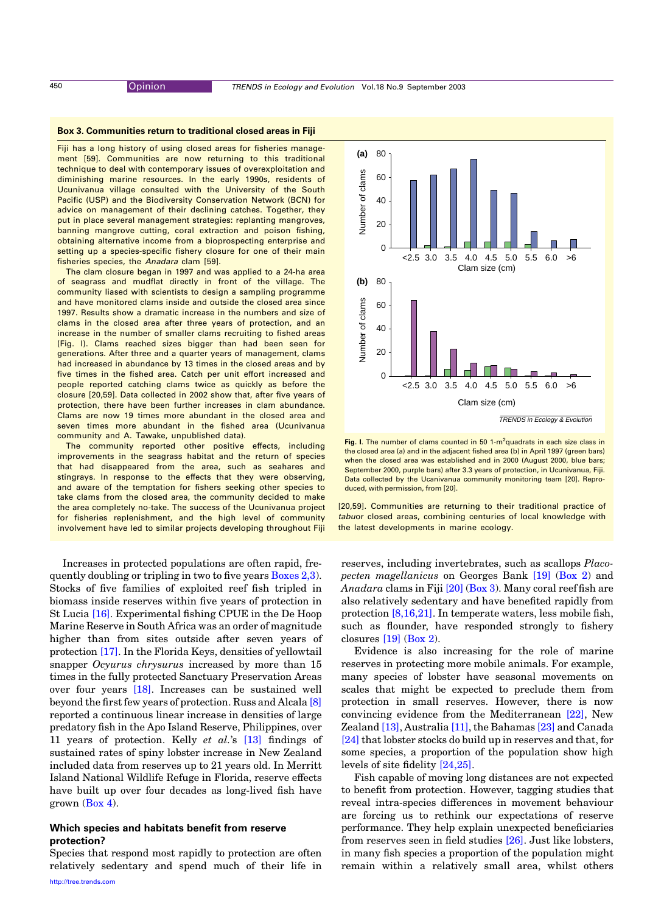## <span id="page-2-0"></span>Box 3. Communities return to traditional closed areas in Fiji

Fiji has a long history of using closed areas for fisheries management [59]. Communities are now returning to this traditional technique to deal with contemporary issues of overexploitation and diminishing marine resources. In the early 1990s, residents of Ucunivanua village consulted with the University of the South Pacific (USP) and the Biodiversity Conservation Network (BCN) for advice on management of their declining catches. Together, they put in place several management strategies: replanting mangroves, banning mangrove cutting, coral extraction and poison fishing, obtaining alternative income from a bioprospecting enterprise and setting up a species-specific fishery closure for one of their main fisheries species, the Anadara clam [59].

The clam closure began in 1997 and was applied to a 24-ha area of seagrass and mudflat directly in front of the village. The community liased with scientists to design a sampling programme and have monitored clams inside and outside the closed area since 1997. Results show a dramatic increase in the numbers and size of clams in the closed area after three years of protection, and an increase in the number of smaller clams recruiting to fished areas (Fig. I). Clams reached sizes bigger than had been seen for generations. After three and a quarter years of management, clams had increased in abundance by 13 times in the closed areas and by five times in the fished area. Catch per unit effort increased and people reported catching clams twice as quickly as before the closure [20,59]. Data collected in 2002 show that, after five years of protection, there have been further increases in clam abundance. Clams are now 19 times more abundant in the closed area and seven times more abundant in the fished area (Ucunivanua community and A. Tawake, unpublished data).

The community reported other positive effects, including improvements in the seagrass habitat and the return of species that had disappeared from the area, such as seahares and stingrays. In response to the effects that they were observing, and aware of the temptation for fishers seeking other species to take clams from the closed area, the community decided to make the area completely no-take. The success of the Ucunivanua project for fisheries replenishment, and the high level of community involvement have led to similar projects developing throughout Fiji

Increases in protected populations are often rapid, frequently doubling or tripling in two to five years [Boxes 2,3](#page-1-0)). Stocks of five families of exploited reef fish tripled in biomass inside reserves within five years of protection in St Lucia [\[16\].](#page-6-0) Experimental fishing CPUE in the De Hoop Marine Reserve in South Africa was an order of magnitude higher than from sites outside after seven years of protection [\[17\].](#page-6-0) In the Florida Keys, densities of yellowtail snapper *Ocyurus chrysurus* increased by more than 15 times in the fully protected Sanctuary Preservation Areas over four years [\[18\].](#page-6-0) Increases can be sustained well beyond the first few years of protection. Russ and Alcala [\[8\]](#page-6-0) reported a continuous linear increase in densities of large predatory fish in the Apo Island Reserve, Philippines, over 11 years of protection. Kelly et al.'s [\[13\]](#page-6-0) findings of sustained rates of spiny lobster increase in New Zealand included data from reserves up to 21 years old. In Merritt Island National Wildlife Refuge in Florida, reserve effects have built up over four decades as long-lived fish have grown [\(Box 4\)](#page-3-0).

# Which species and habitats benefit from reserve protection?

Species that respond most rapidly to protection are often relatively sedentary and spend much of their life in



Fig. I. The number of clams counted in 50 1-m<sup>2</sup>quadrats in each size class in the closed area (a) and in the adjacent fished area (b) in April 1997 (green bars) when the closed area was established and in 2000 (August 2000, blue bars; September 2000, purple bars) after 3.3 years of protection, in Ucunivanua, Fiji. Data collected by the Ucanivanua community monitoring team [20]. Reproduced, with permission, from [20].

[20,59]. Communities are returning to their traditional practice of tabuor closed areas, combining centuries of local knowledge with the latest developments in marine ecology.

reserves, including invertebrates, such as scallops Placopecten magellanicus on Georges Bank [\[19\]](#page-6-0) ([Box 2\)](#page-1-0) and Anadara clams in Fiji [\[20\]](#page-6-0) (Box 3). Many coral reef fish are also relatively sedentary and have benefited rapidly from protection [\[8,16,21\]](#page-6-0). In temperate waters, less mobile fish, such as flounder, have responded strongly to fishery closures [\[19\]](#page-6-0) ([Box 2](#page-1-0)).

Evidence is also increasing for the role of marine reserves in protecting more mobile animals. For example, many species of lobster have seasonal movements on scales that might be expected to preclude them from protection in small reserves. However, there is now convincing evidence from the Mediterranean [\[22\],](#page-6-0) New Zealand [\[13\],](#page-6-0) Australia [\[11\]](#page-6-0), the Bahamas [\[23\]](#page-6-0) and Canada [\[24\]](#page-6-0) that lobster stocks do build up in reserves and that, for some species, a proportion of the population show high levels of site fidelity [\[24,25\]](#page-6-0).

Fish capable of moving long distances are not expected to benefit from protection. However, tagging studies that reveal intra-species differences in movement behaviour are forcing us to rethink our expectations of reserve performance. They help explain unexpected beneficiaries from reserves seen in field studies [\[26\]](#page-6-0). Just like lobsters, in many fish species a proportion of the population might remain within a relatively small area, whilst others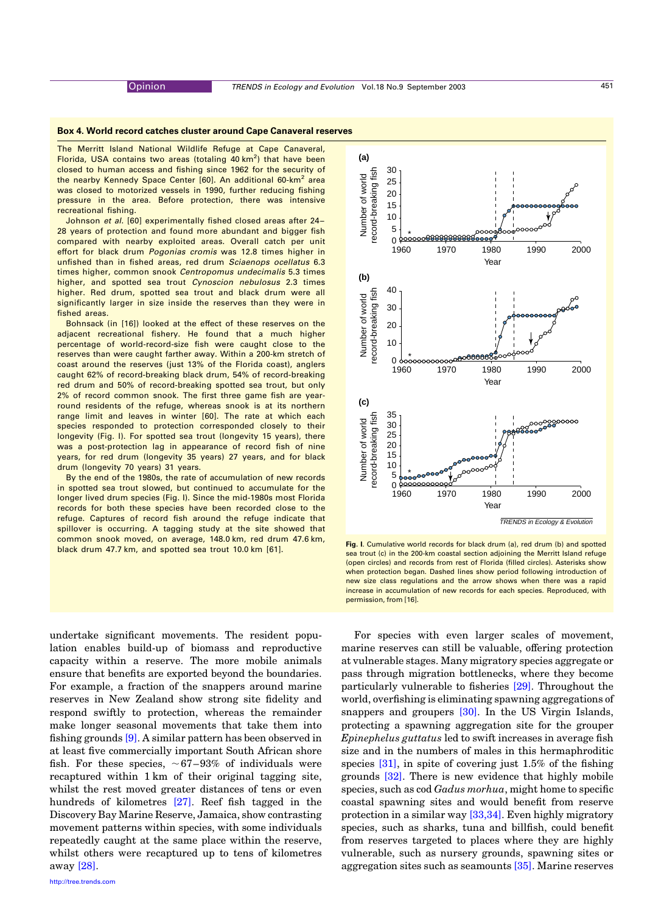### <span id="page-3-0"></span>Box 4. World record catches cluster around Cape Canaveral reserves

The Merritt Island National Wildlife Refuge at Cape Canaveral, Florida, USA contains two areas (totaling 40 km<sup>2</sup>) that have been closed to human access and fishing since 1962 for the security of the nearby Kennedy Space Center [60]. An additional 60-km<sup>2</sup> area was closed to motorized vessels in 1990, further reducing fishing pressure in the area. Before protection, there was intensive recreational fishing.

Johnson et al. [60] experimentally fished closed areas after 24-28 years of protection and found more abundant and bigger fish compared with nearby exploited areas. Overall catch per unit effort for black drum Pogonias cromis was 12.8 times higher in unfished than in fished areas, red drum Sciaenops ocellatus 6.3 times higher, common snook Centropomus undecimalis 5.3 times higher, and spotted sea trout Cynoscion nebulosus 2.3 times higher. Red drum, spotted sea trout and black drum were all significantly larger in size inside the reserves than they were in fished areas.

Bohnsack (in [16]) looked at the effect of these reserves on the adjacent recreational fishery. He found that a much higher percentage of world-record-size fish were caught close to the reserves than were caught farther away. Within a 200-km stretch of coast around the reserves (just 13% of the Florida coast), anglers caught 62% of record-breaking black drum, 54% of record-breaking red drum and 50% of record-breaking spotted sea trout, but only 2% of record common snook. The first three game fish are yearround residents of the refuge, whereas snook is at its northern range limit and leaves in winter [60]. The rate at which each species responded to protection corresponded closely to their longevity (Fig. I). For spotted sea trout (longevity 15 years), there was a post-protection lag in appearance of record fish of nine years, for red drum (longevity 35 years) 27 years, and for black drum (longevity 70 years) 31 years.

By the end of the 1980s, the rate of accumulation of new records in spotted sea trout slowed, but continued to accumulate for the longer lived drum species (Fig. I). Since the mid-1980s most Florida records for both these species have been recorded close to the refuge. Captures of record fish around the refuge indicate that spillover is occurring. A tagging study at the site showed that common snook moved, on average, 148.0 km, red drum 47.6 km,

undertake significant movements. The resident population enables build-up of biomass and reproductive capacity within a reserve. The more mobile animals ensure that benefits are exported beyond the boundaries. For example, a fraction of the snappers around marine reserves in New Zealand show strong site fidelity and respond swiftly to protection, whereas the remainder make longer seasonal movements that take them into fishing grounds [\[9\].](#page-6-0) A similar pattern has been observed in at least five commercially important South African shore fish. For these species,  $\sim 67-93\%$  of individuals were recaptured within 1 km of their original tagging site, whilst the rest moved greater distances of tens or even hundreds of kilometres [\[27\].](#page-6-0) Reef fish tagged in the Discovery Bay Marine Reserve, Jamaica, show contrasting movement patterns within species, with some individuals repeatedly caught at the same place within the reserve, whilst others were recaptured up to tens of kilometres away [\[28\]](#page-6-0).



black drum 47.7 km, and spotted sea trout 10.0 km [61]. Fig. I. Cumulative world records for black drum (a), red drum (b) and spotted exact rout 10.0 km [61]. sea trout (c) in the 200-km coastal section adjoining the Merritt Island refuge (open circles) and records from rest of Florida (filled circles). Asterisks show when protection began. Dashed lines show period following introduction of new size class regulations and the arrow shows when there was a rapid increase in accumulation of new records for each species. Reproduced, with permission, from [16].

For species with even larger scales of movement, marine reserves can still be valuable, offering protection at vulnerable stages. Many migratory species aggregate or pass through migration bottlenecks, where they become particularly vulnerable to fisheries [\[29\].](#page-6-0) Throughout the world, overfishing is eliminating spawning aggregations of snappers and groupers [\[30\]](#page-6-0). In the US Virgin Islands, protecting a spawning aggregation site for the grouper Epinephelus guttatus led to swift increases in average fish size and in the numbers of males in this hermaphroditic species [\[31\]](#page-6-0), in spite of covering just 1.5% of the fishing grounds [\[32\]](#page-6-0). There is new evidence that highly mobile species, such as cod Gadus morhua, might home to specific coastal spawning sites and would benefit from reserve protection in a similar way [\[33,34\].](#page-6-0) Even highly migratory species, such as sharks, tuna and billfish, could benefit from reserves targeted to places where they are highly vulnerable, such as nursery grounds, spawning sites or aggregation sites such as seamounts [\[35\].](#page-6-0) Marine reserves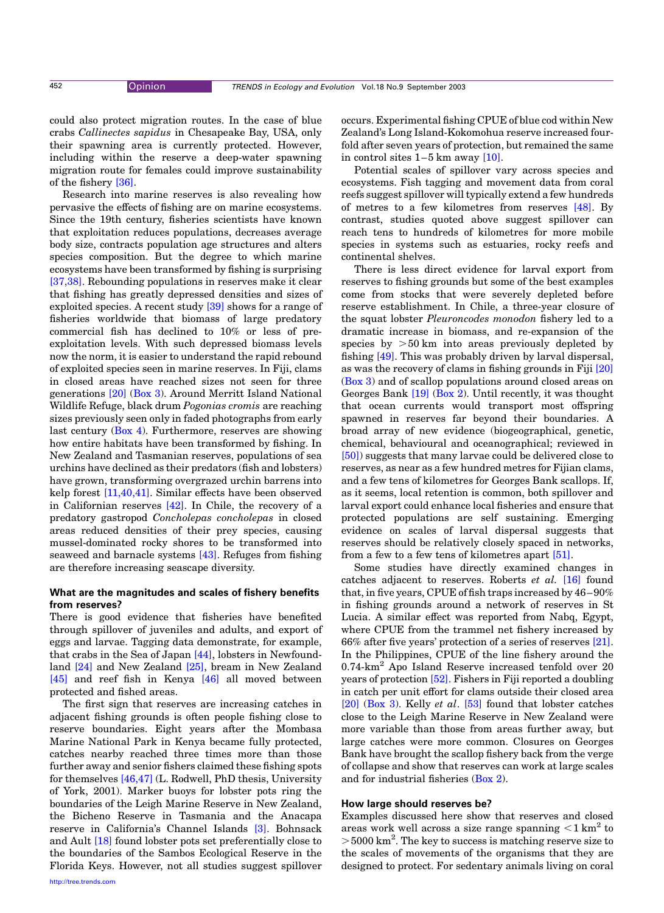could also protect migration routes. In the case of blue crabs Callinectes sapidus in Chesapeake Bay, USA, only their spawning area is currently protected. However, including within the reserve a deep-water spawning migration route for females could improve sustainability of the fishery [\[36\]](#page-6-0).

Research into marine reserves is also revealing how pervasive the effects of fishing are on marine ecosystems. Since the 19th century, fisheries scientists have known that exploitation reduces populations, decreases average body size, contracts population age structures and alters species composition. But the degree to which marine ecosystems have been transformed by fishing is surprising [\[37,38\].](#page-6-0) Rebounding populations in reserves make it clear that fishing has greatly depressed densities and sizes of exploited species. A recent study [\[39\]](#page-6-0) shows for a range of fisheries worldwide that biomass of large predatory commercial fish has declined to 10% or less of preexploitation levels. With such depressed biomass levels now the norm, it is easier to understand the rapid rebound of exploited species seen in marine reserves. In Fiji, clams in closed areas have reached sizes not seen for three generations [\[20\]](#page-6-0) [\(Box 3\)](#page-2-0). Around Merritt Island National Wildlife Refuge, black drum Pogonias cromis are reaching sizes previously seen only in faded photographs from early last century ([Box 4\)](#page-3-0). Furthermore, reserves are showing how entire habitats have been transformed by fishing. In New Zealand and Tasmanian reserves, populations of sea urchins have declined as their predators (fish and lobsters) have grown, transforming overgrazed urchin barrens into kelp forest [\[11,40,41\]](#page-6-0). Similar effects have been observed in Californian reserves [\[42\].](#page-6-0) In Chile, the recovery of a predatory gastropod Concholepas concholepas in closed areas reduced densities of their prey species, causing mussel-dominated rocky shores to be transformed into seaweed and barnacle systems [\[43\]](#page-6-0). Refuges from fishing are therefore increasing seascape diversity.

# What are the magnitudes and scales of fishery benefits from reserves?

There is good evidence that fisheries have benefited through spillover of juveniles and adults, and export of eggs and larvae. Tagging data demonstrate, for example, that crabs in the Sea of Japan [\[44\],](#page-6-0) lobsters in Newfoundland [\[24\]](#page-6-0) and New Zealand [\[25\]](#page-6-0), bream in New Zealand [\[45\]](#page-6-0) and reef fish in Kenya [\[46\]](#page-6-0) all moved between protected and fished areas.

The first sign that reserves are increasing catches in adjacent fishing grounds is often people fishing close to reserve boundaries. Eight years after the Mombasa Marine National Park in Kenya became fully protected, catches nearby reached three times more than those further away and senior fishers claimed these fishing spots for themselves [\[46,47\]](#page-6-0) (L. Rodwell, PhD thesis, University of York, 2001). Marker buoys for lobster pots ring the boundaries of the Leigh Marine Reserve in New Zealand, the Bicheno Reserve in Tasmania and the Anacapa reserve in California's Channel Islands [\[3\].](#page-5-0) Bohnsack and Ault [\[18\]](#page-6-0) found lobster pots set preferentially close to the boundaries of the Sambos Ecological Reserve in the Florida Keys. However, not all studies suggest spillover

[http://tree.trends.com](http://www.trends.com)

occurs. Experimental fishing CPUE of blue cod within New Zealand's Long Island-Kokomohua reserve increased fourfold after seven years of protection, but remained the same in control sites  $1-5$  km away  $[10]$ .

Potential scales of spillover vary across species and ecosystems. Fish tagging and movement data from coral reefs suggest spillover will typically extend a few hundreds of metres to a few kilometres from reserves [\[48\].](#page-6-0) By contrast, studies quoted above suggest spillover can reach tens to hundreds of kilometres for more mobile species in systems such as estuaries, rocky reefs and continental shelves.

There is less direct evidence for larval export from reserves to fishing grounds but some of the best examples come from stocks that were severely depleted before reserve establishment. In Chile, a three-year closure of the squat lobster Pleuroncodes monodon fishery led to a dramatic increase in biomass, and re-expansion of the species by  $>50$  km into areas previously depleted by fishing [\[49\]](#page-6-0). This was probably driven by larval dispersal, as was the recovery of clams in fishing grounds in Fiji [\[20\]](#page-6-0) ([Box 3\)](#page-2-0) and of scallop populations around closed areas on Georges Bank [\[19\]](#page-6-0) [\(Box 2](#page-1-0)). Until recently, it was thought that ocean currents would transport most offspring spawned in reserves far beyond their boundaries. A broad array of new evidence (biogeographical, genetic, chemical, behavioural and oceanographical; reviewed in [\[50\]\)](#page-6-0) suggests that many larvae could be delivered close to reserves, as near as a few hundred metres for Fijian clams, and a few tens of kilometres for Georges Bank scallops. If, as it seems, local retention is common, both spillover and larval export could enhance local fisheries and ensure that protected populations are self sustaining. Emerging evidence on scales of larval dispersal suggests that reserves should be relatively closely spaced in networks, from a few to a few tens of kilometres apart [\[51\]](#page-6-0).

Some studies have directly examined changes in catches adjacent to reserves. Roberts et al. [\[16\]](#page-6-0) found that, in five years, CPUE offish traps increased by 46–90% in fishing grounds around a network of reserves in St Lucia. A similar effect was reported from Nabq, Egypt, where CPUE from the trammel net fishery increased by 66% after five years' protection of a series of reserves [\[21\]](#page-6-0). In the Philippines, CPUE of the line fishery around the 0.74-km<sup>2</sup> Apo Island Reserve increased tenfold over 20 years of protection [\[52\].](#page-6-0) Fishers in Fiji reported a doubling in catch per unit effort for clams outside their closed area [\[20\]](#page-6-0) ([Box 3](#page-2-0)). Kelly et al. [\[53\]](#page-6-0) found that lobster catches close to the Leigh Marine Reserve in New Zealand were more variable than those from areas further away, but large catches were more common. Closures on Georges Bank have brought the scallop fishery back from the verge of collapse and show that reserves can work at large scales and for industrial fisheries [\(Box 2\)](#page-1-0).

## How large should reserves be?

Examples discussed here show that reserves and closed areas work well across a size range spanning  $\leq 1$  km<sup>2</sup> to >5000 km<sup>2</sup>. The key to success is matching reserve size to the scales of movements of the organisms that they are designed to protect. For sedentary animals living on coral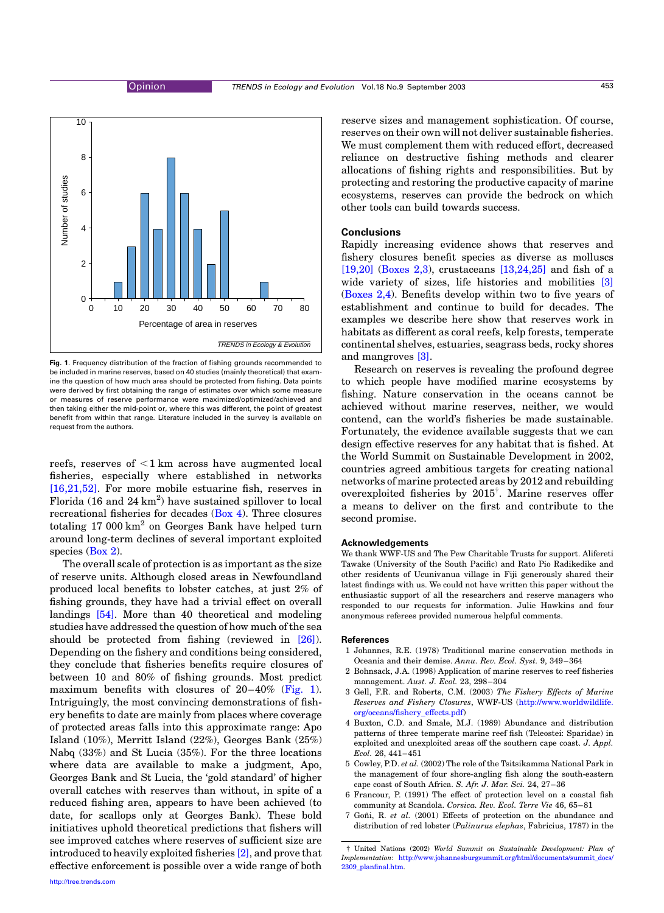<span id="page-5-0"></span>

Fig. 1. Frequency distribution of the fraction of fishing grounds recommended to be included in marine reserves, based on 40 studies (mainly theoretical) that examine the question of how much area should be protected from fishing. Data points were derived by first obtaining the range of estimates over which some measure or measures of reserve performance were maximized/optimized/achieved and then taking either the mid-point or, where this was different, the point of greatest benefit from within that range. Literature included in the survey is available on request from the authors.

reefs, reserves of  $\leq 1$  km across have augmented local fisheries, especially where established in networks [\[16,21,52\].](#page-6-0) For more mobile estuarine fish, reserves in Florida (16 and  $24 \text{ km}^2$ ) have sustained spillover to local recreational fisheries for decades [\(Box 4](#page-3-0)). Three closures totaling  $17000 \text{ km}^2$  on Georges Bank have helped turn around long-term declines of several important exploited species ([Box 2](#page-1-0)).

The overall scale of protection is as important as the size of reserve units. Although closed areas in Newfoundland produced local benefits to lobster catches, at just 2% of fishing grounds, they have had a trivial effect on overall landings [\[54\].](#page-6-0) More than 40 theoretical and modeling studies have addressed the question of how much of the sea should be protected from fishing (reviewed in [\[26\]](#page-6-0)). Depending on the fishery and conditions being considered, they conclude that fisheries benefits require closures of between 10 and 80% of fishing grounds. Most predict maximum benefits with closures of  $20-40\%$  (Fig. 1). Intriguingly, the most convincing demonstrations of fishery benefits to date are mainly from places where coverage of protected areas falls into this approximate range: Apo Island (10%), Merritt Island (22%), Georges Bank (25%) Nabq (33%) and St Lucia (35%). For the three locations where data are available to make a judgment, Apo, Georges Bank and St Lucia, the 'gold standard' of higher overall catches with reserves than without, in spite of a reduced fishing area, appears to have been achieved (to date, for scallops only at Georges Bank). These bold initiatives uphold theoretical predictions that fishers will see improved catches where reserves of sufficient size are introduced to heavily exploited fisheries [2], and prove that effective enforcement is possible over a wide range of both

reserve sizes and management sophistication. Of course, reserves on their own will not deliver sustainable fisheries. We must complement them with reduced effort, decreased reliance on destructive fishing methods and clearer allocations of fishing rights and responsibilities. But by protecting and restoring the productive capacity of marine ecosystems, reserves can provide the bedrock on which other tools can build towards success.

## **Conclusions**

Rapidly increasing evidence shows that reserves and fishery closures benefit species as diverse as molluscs [\[19,20\]](#page-6-0) ([Boxes 2,3\)](#page-1-0), crustaceans  $[13,24,25]$  and fish of a wide variety of sizes, life histories and mobilities [3] ([Boxes 2,4\)](#page-1-0). Benefits develop within two to five years of establishment and continue to build for decades. The examples we describe here show that reserves work in habitats as different as coral reefs, kelp forests, temperate continental shelves, estuaries, seagrass beds, rocky shores and mangroves [3].

Research on reserves is revealing the profound degree to which people have modified marine ecosystems by fishing. Nature conservation in the oceans cannot be achieved without marine reserves, neither, we would contend, can the world's fisheries be made sustainable. Fortunately, the evidence available suggests that we can design effective reserves for any habitat that is fished. At the World Summit on Sustainable Development in 2002, countries agreed ambitious targets for creating national networks of marine protected areas by 2012 and rebuilding overexploited fisheries by 2015† . Marine reserves offer a means to deliver on the first and contribute to the second promise.

#### Acknowledgements

We thank WWF-US and The Pew Charitable Trusts for support. Alifereti Tawake (University of the South Pacific) and Rato Pio Radikedike and other residents of Ucunivanua village in Fiji generously shared their latest findings with us. We could not have written this paper without the enthusiastic support of all the researchers and reserve managers who responded to our requests for information. Julie Hawkins and four anonymous referees provided numerous helpful comments.

## **References**

- 1 Johannes, R.E. (1978) Traditional marine conservation methods in Oceania and their demise. Annu. Rev. Ecol. Syst. 9, 349–364
- 2 Bohnsack, J.A. (1998) Application of marine reserves to reef fisheries management. Aust. J. Ecol. 23, 298–304
- 3 Gell, F.R. and Roberts, C.M. (2003) The Fishery Effects of Marine Reserves and Fishery Closures, WWF-US ([http://www.worldwildlife.](http://www.worldwildlife.org/oceans/fishery_effects.pdf) [org/oceans/fishery\\_effects.pdf](http://www.worldwildlife.org/oceans/fishery_effects.pdf))
- 4 Buxton, C.D. and Smale, M.J. (1989) Abundance and distribution patterns of three temperate marine reef fish (Teleostei: Sparidae) in exploited and unexploited areas off the southern cape coast. J. Appl. Ecol. 26, 441–451
- 5 Cowley, P.D. et al. (2002) The role of the Tsitsikamma National Park in the management of four shore-angling fish along the south-eastern cape coast of South Africa. S. Afr. J. Mar. Sci. 24, 27–36
- 6 Francour, P. (1991) The effect of protection level on a coastal fish community at Scandola. Corsica. Rev. Ecol. Terre Vie 46, 65–81
- 7 Goñi, R. et al. (2001) Effects of protection on the abundance and distribution of red lobster (Palinurus elephas, Fabricius, 1787) in the

<sup>†</sup> United Nations (2002) World Summit on Sustainable Development: Plan of Implementation: [http://www.johannesburgsummit.org/html/documents/summit\\_docs/](http://www.johannesburgsummit.org/html/documents/summit_docs/2309_planfinal.htm) [2309\\_planfinal.htm](http://www.johannesburgsummit.org/html/documents/summit_docs/2309_planfinal.htm).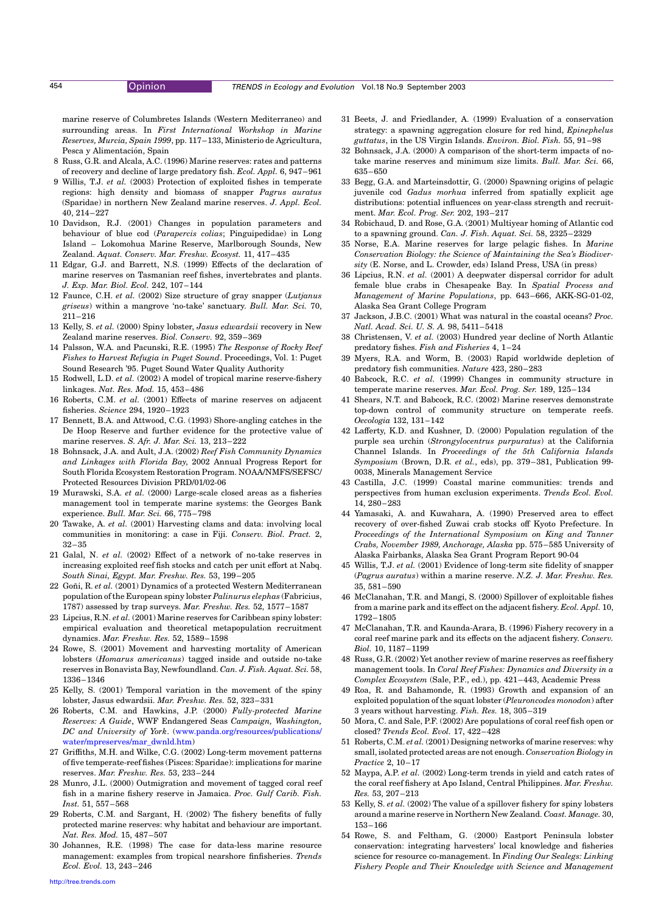<span id="page-6-0"></span>

marine reserve of Columbretes Islands (Western Mediterraneo) and surrounding areas. In First International Workshop in Marine Reserves, Murcia, Spain 1999, pp. 117–133, Ministerio de Agricultura, Pesca y Alimentación, Spain

- 8 Russ, G.R. and Alcala, A.C. (1996) Marine reserves: rates and patterns of recovery and decline of large predatory fish. Ecol. Appl. 6, 947–961
- 9 Willis, T.J. et al. (2003) Protection of exploited fishes in temperate regions: high density and biomass of snapper Pagrus auratus (Sparidae) in northern New Zealand marine reserves. J. Appl. Ecol. 40, 214–227
- 10 Davidson, R.J. (2001) Changes in population parameters and behaviour of blue cod (Parapercis colias; Pinguipedidae) in Long Island – Lokomohua Marine Reserve, Marlborough Sounds, New Zealand. Aquat. Conserv. Mar. Freshw. Ecosyst. 11, 417–435
- 11 Edgar, G.J. and Barrett, N.S. (1999) Effects of the declaration of marine reserves on Tasmanian reef fishes, invertebrates and plants. J. Exp. Mar. Biol. Ecol. 242, 107–144
- 12 Faunce, C.H. et al. (2002) Size structure of gray snapper (Lutjanus griseus) within a mangrove 'no-take' sanctuary. Bull. Mar. Sci. 70, 211–216
- 13 Kelly, S. et al. (2000) Spiny lobster, Jasus edwardsii recovery in New Zealand marine reserves. Biol. Conserv. 92, 359–369
- 14 Palsson, W.A. and Pacunski, R.E. (1995) The Response of Rocky Reef Fishes to Harvest Refugia in Puget Sound. Proceedings, Vol. 1: Puget Sound Research '95. Puget Sound Water Quality Authority
- 15 Rodwell, L.D. et al. (2002) A model of tropical marine reserve-fishery linkages. Nat. Res. Mod. 15, 453–486
- 16 Roberts, C.M. et al. (2001) Effects of marine reserves on adjacent fisheries. Science 294, 1920–1923
- 17 Bennett, B.A. and Attwood, C.G. (1993) Shore-angling catches in the De Hoop Reserve and further evidence for the protective value of marine reserves. S. Afr. J. Mar. Sci. 13, 213–222
- 18 Bohnsack, J.A. and Ault, J.A. (2002) Reef Fish Community Dynamics and Linkages with Florida Bay, 2002 Annual Progress Report for South Florida Ecosystem Restoration Program. NOAA/NMFS/SEFSC/ Protected Resources Division PRD/01/02-06
- 19 Murawski, S.A. et al. (2000) Large-scale closed areas as a fisheries management tool in temperate marine systems: the Georges Bank experience. Bull. Mar. Sci. 66, 775–798
- 20 Tawake, A. et al. (2001) Harvesting clams and data: involving local communities in monitoring: a case in Fiji. Conserv. Biol. Pract. 2, 32–35
- 21 Galal, N. et al. (2002) Effect of a network of no-take reserves in increasing exploited reef fish stocks and catch per unit effort at Nabq. South Sinai, Egypt. Mar. Freshw. Res. 53, 199–205
- 22 Goñi, R. et al. (2001) Dynamics of a protected Western Mediterranean population of the European spiny lobster Palinurus elephas (Fabricius, 1787) assessed by trap surveys. Mar. Freshw. Res. 52, 1577–1587
- 23 Lipcius, R.N. et al. (2001) Marine reserves for Caribbean spiny lobster: empirical evaluation and theoretical metapopulation recruitment dynamics. Mar. Freshw. Res. 52, 1589–1598
- 24 Rowe, S. (2001) Movement and harvesting mortality of American lobsters (Homarus americanus) tagged inside and outside no-take reserves in Bonavista Bay, Newfoundland. Can. J. Fish. Aquat. Sci. 58, 1336–1346
- 25 Kelly, S. (2001) Temporal variation in the movement of the spiny lobster, Jasus edwardsii. Mar. Freshw. Res. 52, 323–331
- 26 Roberts, C.M. and Hawkins, J.P. (2000) Fully-protected Marine Reserves: A Guide, WWF Endangered Seas Campaign, Washington, DC and University of York. [\(www.panda.org/resources/publications/](http://www.panda.org/resources/publications/water/mpreserves/mar_dwnld.htm) [water/mpreserves/mar\\_dwnld.htm](http://www.panda.org/resources/publications/water/mpreserves/mar_dwnld.htm))
- 27 Griffiths, M.H. and Wilke, C.G. (2002) Long-term movement patterns of five temperate-reef fishes (Pisces: Sparidae): implications for marine reserves. Mar. Freshw. Res. 53, 233–244
- 28 Munro, J.L. (2000) Outmigration and movement of tagged coral reef fish in a marine fishery reserve in Jamaica. Proc. Gulf Carib. Fish. Inst. 51, 557–568
- 29 Roberts, C.M. and Sargant, H. (2002) The fishery benefits of fully protected marine reserves: why habitat and behaviour are important. Nat. Res. Mod. 15, 487–507
- 30 Johannes, R.E. (1998) The case for data-less marine resource management: examples from tropical nearshore finfisheries. Trends Ecol. Evol. 13, 243–246
- 31 Beets, J. and Friedlander, A. (1999) Evaluation of a conservation strategy: a spawning aggregation closure for red hind, Epinephelus guttatus, in the US Virgin Islands. Environ. Biol. Fish. 55, 91–98
- 32 Bohnsack, J.A. (2000) A comparison of the short-term impacts of notake marine reserves and minimum size limits. Bull. Mar. Sci. 66, 635–650
- 33 Begg, G.A. and Marteinsdottir, G. (2000) Spawning origins of pelagic juvenile cod *Gadus morhua* inferred from spatially explicit age distributions: potential influences on year-class strength and recruitment. Mar. Ecol. Prog. Ser. 202, 193–217
- 34 Robichaud, D. and Rose, G.A. (2001) Multiyear homing of Atlantic cod to a spawning ground. Can. J. Fish. Aquat. Sci. 58, 2325–2329
- 35 Norse, E.A. Marine reserves for large pelagic fishes. In Marine Conservation Biology: the Science of Maintaining the Sea's Biodiversity (E. Norse, and L. Crowder, eds) Island Press, USA (in press)
- 36 Lipcius, R.N. et al. (2001) A deepwater dispersal corridor for adult female blue crabs in Chesapeake Bay. In Spatial Process and Management of Marine Populations, pp. 643–666, AKK-SG-01-02, Alaska Sea Grant College Program
- 37 Jackson, J.B.C. (2001) What was natural in the coastal oceans? Proc. Natl. Acad. Sci. U. S. A. 98, 5411–5418
- 38 Christensen, V. et al. (2003) Hundred year decline of North Atlantic predatory fishes. Fish and Fisheries 4, 1–24
- 39 Myers, R.A. and Worm, B. (2003) Rapid worldwide depletion of predatory fish communities. Nature 423, 280–283
- 40 Babcock, R.C. et al. (1999) Changes in community structure in temperate marine reserves. Mar. Ecol. Prog. Ser. 189, 125–134
- 41 Shears, N.T. and Babcock, R.C. (2002) Marine reserves demonstrate top-down control of community structure on temperate reefs. Oecologia 132, 131–142
- 42 Lafferty, K.D. and Kushner, D. (2000) Population regulation of the purple sea urchin (Strongylocentrus purpuratus) at the California Channel Islands. In Proceedings of the 5th California Islands Symposium (Brown, D.R. et al., eds), pp. 379–381, Publication 99- 0038, Minerals Management Service
- 43 Castilla, J.C. (1999) Coastal marine communities: trends and perspectives from human exclusion experiments. Trends Ecol. Evol. 14, 280–283
- 44 Yamasaki, A. and Kuwahara, A. (1990) Preserved area to effect recovery of over-fished Zuwai crab stocks off Kyoto Prefecture. In Proceedings of the International Symposium on King and Tanner Crabs, November 1989, Anchorage, Alaska pp. 575–585 University of Alaska Fairbanks, Alaska Sea Grant Program Report 90-04
- 45 Willis, T.J. et al. (2001) Evidence of long-term site fidelity of snapper (Pagrus auratus) within a marine reserve. N.Z. J. Mar. Freshw. Res. 35, 581–590
- 46 McClanahan, T.R. and Mangi, S. (2000) Spillover of exploitable fishes from a marine park and its effect on the adjacent fishery. Ecol. Appl. 10, 1792–1805
- 47 McClanahan, T.R. and Kaunda-Arara, B. (1996) Fishery recovery in a coral reef marine park and its effects on the adjacent fishery. Conserv. Biol. 10, 1187–1199
- 48 Russ, G.R. (2002) Yet another review of marine reserves as reef fishery management tools. In Coral Reef Fishes: Dynamics and Diversity in a Complex Ecosystem (Sale, P.F., ed.), pp. 421–443, Academic Press
- 49 Roa, R. and Bahamonde, R. (1993) Growth and expansion of an exploited population of the squat lobster (Pleuroncodes monodon) after 3 years without harvesting. Fish. Res. 18, 305–319
- 50 Mora, C. and Sale, P.F. (2002) Are populations of coral reef fish open or closed? Trends Ecol. Evol. 17, 422–428
- 51 Roberts, C.M. et al. (2001) Designing networks of marine reserves: why small, isolated protected areas are not enough. Conservation Biology in Practice 2, 10–17
- 52 Maypa, A.P. et al. (2002) Long-term trends in yield and catch rates of the coral reef fishery at Apo Island, Central Philippines. Mar. Freshw. Res. 53, 207–213
- 53 Kelly, S. et al. (2002) The value of a spillover fishery for spiny lobsters around a marine reserve in Northern New Zealand. Coast. Manage. 30, 153–166
- 54 Rowe, S. and Feltham, G. (2000) Eastport Peninsula lobster conservation: integrating harvesters' local knowledge and fisheries science for resource co-management. In Finding Our Sealegs: Linking Fishery People and Their Knowledge with Science and Management